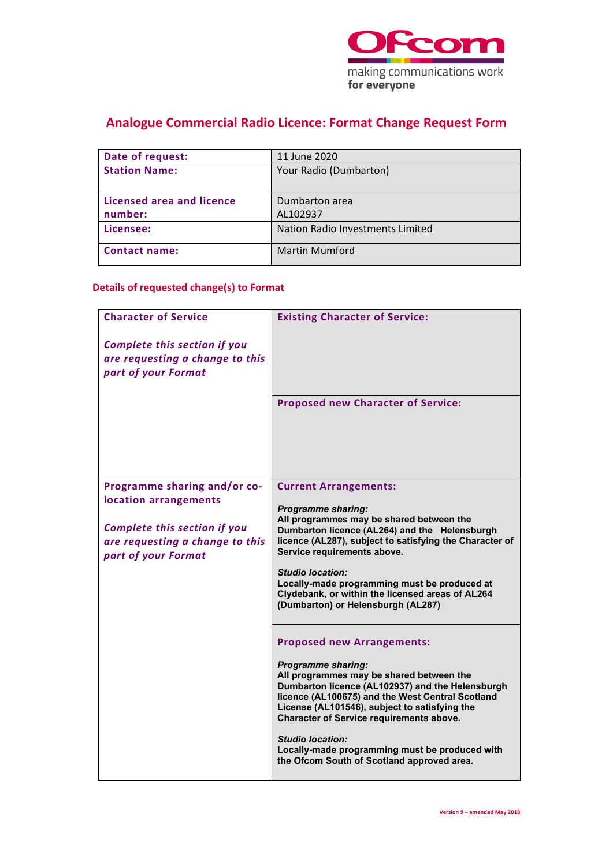

## **Analogue Commercial Radio Licence: Format Change Request Form**

| Date of request:          | 11 June 2020                            |
|---------------------------|-----------------------------------------|
| <b>Station Name:</b>      | Your Radio (Dumbarton)                  |
|                           |                                         |
| Licensed area and licence | Dumbarton area                          |
| number:                   | AL102937                                |
| Licensee:                 | <b>Nation Radio Investments Limited</b> |
| <b>Contact name:</b>      | <b>Martin Mumford</b>                   |

### **Details of requested change(s) to Format**

| <b>Character of Service</b>                                                                                                                            | <b>Existing Character of Service:</b>                                                                                                                                                                                                                                                                                                                                                                                                             |
|--------------------------------------------------------------------------------------------------------------------------------------------------------|---------------------------------------------------------------------------------------------------------------------------------------------------------------------------------------------------------------------------------------------------------------------------------------------------------------------------------------------------------------------------------------------------------------------------------------------------|
| <b>Complete this section if you</b><br>are requesting a change to this<br>part of your Format                                                          |                                                                                                                                                                                                                                                                                                                                                                                                                                                   |
|                                                                                                                                                        | <b>Proposed new Character of Service:</b>                                                                                                                                                                                                                                                                                                                                                                                                         |
| Programme sharing and/or co-<br>location arrangements<br><b>Complete this section if you</b><br>are requesting a change to this<br>part of your Format | <b>Current Arrangements:</b><br><b>Programme sharing:</b><br>All programmes may be shared between the<br>Dumbarton licence (AL264) and the Helensburgh<br>licence (AL287), subject to satisfying the Character of<br>Service requirements above.<br><b>Studio location:</b><br>Locally-made programming must be produced at<br>Clydebank, or within the licensed areas of AL264<br>(Dumbarton) or Helensburgh (AL287)                             |
|                                                                                                                                                        | <b>Proposed new Arrangements:</b><br><b>Programme sharing:</b><br>All programmes may be shared between the<br>Dumbarton licence (AL102937) and the Helensburgh<br>licence (AL100675) and the West Central Scotland<br>License (AL101546), subject to satisfying the<br><b>Character of Service requirements above.</b><br><b>Studio location:</b><br>Locally-made programming must be produced with<br>the Ofcom South of Scotland approved area. |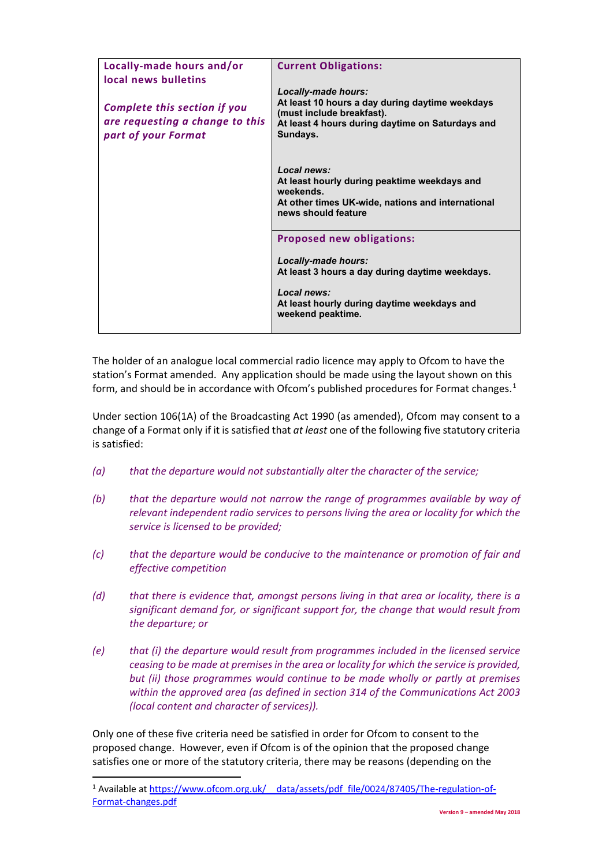| Locally-made hours and/or<br>local news bulletins                                             | <b>Current Obligations:</b>                                                                                                                                         |
|-----------------------------------------------------------------------------------------------|---------------------------------------------------------------------------------------------------------------------------------------------------------------------|
| <b>Complete this section if you</b><br>are requesting a change to this<br>part of your Format | Locally-made hours:<br>At least 10 hours a day during daytime weekdays<br>(must include breakfast).<br>At least 4 hours during daytime on Saturdays and<br>Sundays. |
|                                                                                               | Local news:<br>At least hourly during peaktime weekdays and<br>weekends.<br>At other times UK-wide, nations and international<br>news should feature                |
|                                                                                               | <b>Proposed new obligations:</b><br>Locally-made hours:<br>At least 3 hours a day during daytime weekdays.                                                          |
|                                                                                               | Local news:<br>At least hourly during daytime weekdays and<br>weekend peaktime.                                                                                     |

The holder of an analogue local commercial radio licence may apply to Ofcom to have the station's Format amended. Any application should be made using the layout shown on this form, and should be in accordance with Ofcom's published procedures for Format changes.<sup>[1](#page-1-0)</sup>

Under section 106(1A) of the Broadcasting Act 1990 (as amended), Ofcom may consent to a change of a Format only if it is satisfied that *at least* one of the following five statutory criteria is satisfied:

- *(a) that the departure would not substantially alter the character of the service;*
- *(b) that the departure would not narrow the range of programmes available by way of relevant independent radio services to persons living the area or locality for which the service is licensed to be provided;*
- *(c) that the departure would be conducive to the maintenance or promotion of fair and effective competition*
- *(d) that there is evidence that, amongst persons living in that area or locality, there is a significant demand for, or significant support for, the change that would result from the departure; or*
- *(e) that (i) the departure would result from programmes included in the licensed service ceasing to be made at premises in the area or locality for which the service is provided, but (ii) those programmes would continue to be made wholly or partly at premises within the approved area (as defined in section 314 of the Communications Act 2003 (local content and character of services)).*

Only one of these five criteria need be satisfied in order for Ofcom to consent to the proposed change. However, even if Ofcom is of the opinion that the proposed change satisfies one or more of the statutory criteria, there may be reasons (depending on the

<span id="page-1-0"></span><sup>&</sup>lt;sup>1</sup> Available at https://www.ofcom.org.uk/ data/assets/pdf file/0024/87405/The-regulation-of-[Format-changes.pdf](https://www.ofcom.org.uk/__data/assets/pdf_file/0024/87405/The-regulation-of-Format-changes.pdf)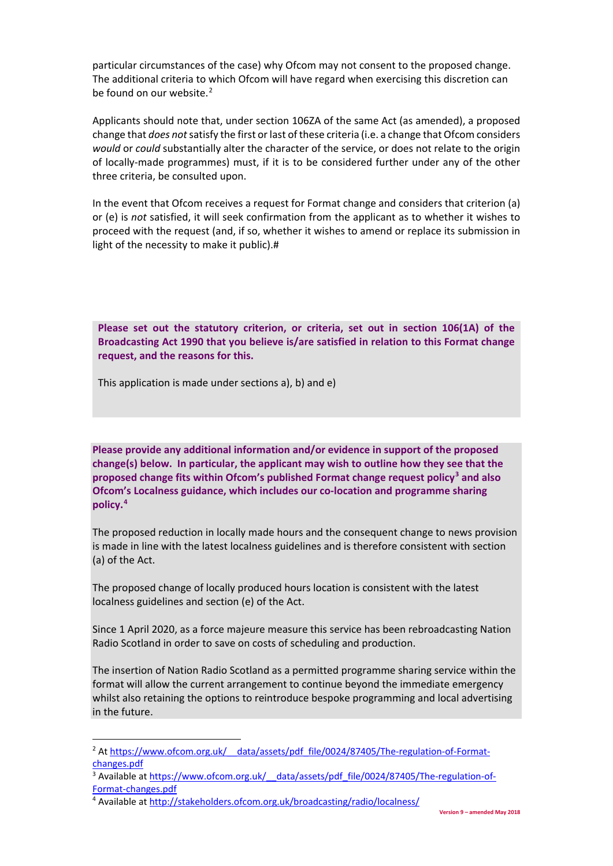particular circumstances of the case) why Ofcom may not consent to the proposed change. The additional criteria to which Ofcom will have regard when exercising this discretion can be found on our website.<sup>[2](#page-2-0)</sup>

Applicants should note that, under section 106ZA of the same Act (as amended), a proposed change that *does not*satisfy the first or last of these criteria (i.e. a change that Ofcom considers *would* or *could* substantially alter the character of the service, or does not relate to the origin of locally-made programmes) must, if it is to be considered further under any of the other three criteria, be consulted upon.

In the event that Ofcom receives a request for Format change and considers that criterion (a) or (e) is *not* satisfied, it will seek confirmation from the applicant as to whether it wishes to proceed with the request (and, if so, whether it wishes to amend or replace its submission in light of the necessity to make it public).#

**Please set out the statutory criterion, or criteria, set out in section 106(1A) of the Broadcasting Act 1990 that you believe is/are satisfied in relation to this Format change request, and the reasons for this.** 

This application is made under sections a), b) and e)

**Please provide any additional information and/or evidence in support of the proposed change(s) below. In particular, the applicant may wish to outline how they see that the proposed change fits within Ofcom's published Format change request policy[3](#page-2-1) and also Ofcom's Localness guidance, which includes our co-location and programme sharing policy.[4](#page-2-2)** 

The proposed reduction in locally made hours and the consequent change to news provision is made in line with the latest localness guidelines and is therefore consistent with section (a) of the Act.

The proposed change of locally produced hours location is consistent with the latest localness guidelines and section (e) of the Act.

Since 1 April 2020, as a force majeure measure this service has been rebroadcasting Nation Radio Scotland in order to save on costs of scheduling and production.

The insertion of Nation Radio Scotland as a permitted programme sharing service within the format will allow the current arrangement to continue beyond the immediate emergency whilst also retaining the options to reintroduce bespoke programming and local advertising in the future.

<span id="page-2-0"></span><sup>&</sup>lt;sup>2</sup> At https://www.ofcom.org.uk/ data/assets/pdf file/0024/87405/The-regulation-of-Formatchanges.pdf<br><sup>3</sup> Available at https://www.ofcom.org.uk/ data/assets/pdf file/0024/87405/The-regulation-of-

<span id="page-2-1"></span>Format-changes.pdf<br><sup>4</sup> Available at<http://stakeholders.ofcom.org.uk/broadcasting/radio/localness/>

<span id="page-2-2"></span>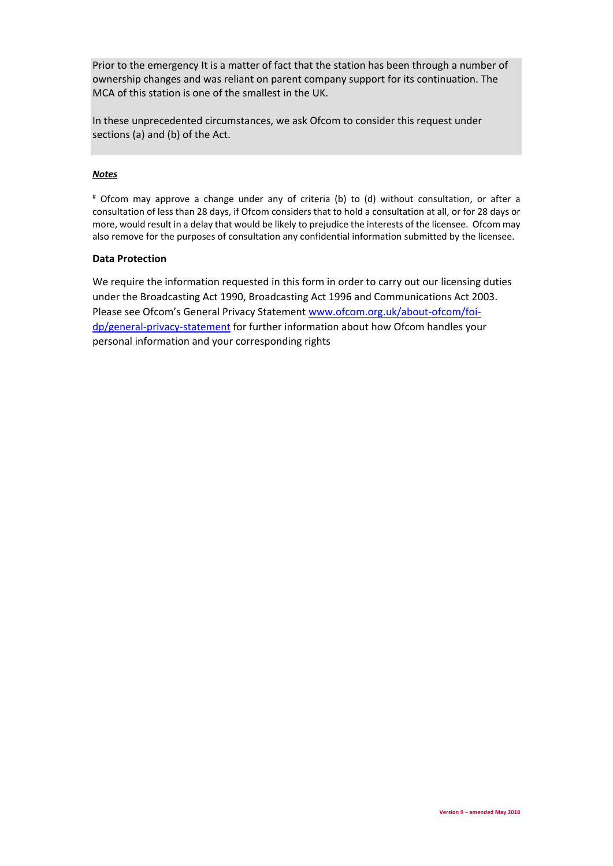Prior to the emergency It is a matter of fact that the station has been through a number of ownership changes and was reliant on parent company support for its continuation. The MCA of this station is one of the smallest in the UK.

In these unprecedented circumstances, we ask Ofcom to consider this request under sections (a) and (b) of the Act.

### *Notes*

# Ofcom may approve a change under any of criteria (b) to (d) without consultation, or after a consultation of less than 28 days, if Ofcom considers that to hold a consultation at all, or for 28 days or more, would result in a delay that would be likely to prejudice the interests of the licensee. Ofcom may also remove for the purposes of consultation any confidential information submitted by the licensee.

#### **Data Protection**

We require the information requested in this form in order to carry out our licensing duties under the Broadcasting Act 1990, Broadcasting Act 1996 and Communications Act 2003. Please see Ofcom's General Privacy Statement [www.ofcom.org.uk/about-ofcom/foi](http://www.ofcom.org.uk/about-ofcom/foi-dp/general-privacy-statement)[dp/general-privacy-statement](http://www.ofcom.org.uk/about-ofcom/foi-dp/general-privacy-statement) for further information about how Ofcom handles your personal information and your corresponding rights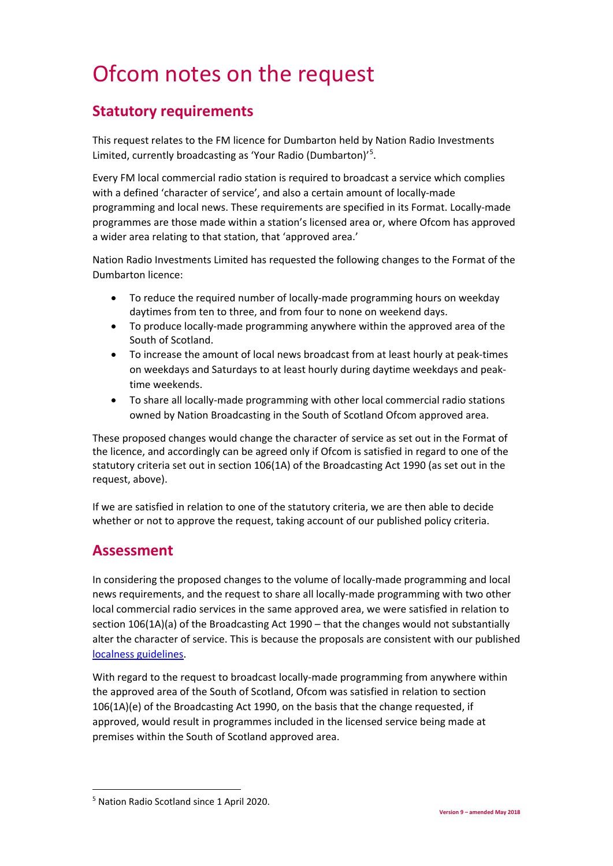# Ofcom notes on the request

### **Statutory requirements**

This request relates to the FM licence for Dumbarton held by Nation Radio Investments Limited, currently broadcasting as 'Your Radio (Dumbarton)'<sup>[5](#page-4-0)</sup>.

Every FM local commercial radio station is required to broadcast a service which complies with a defined 'character of service', and also a certain amount of locally-made programming and local news. These requirements are specified in its Format. Locally-made programmes are those made within a station's licensed area or, where Ofcom has approved a wider area relating to that station, that 'approved area.'

Nation Radio Investments Limited has requested the following changes to the Format of the Dumbarton licence:

- To reduce the required number of locally-made programming hours on weekday daytimes from ten to three, and from four to none on weekend days.
- To produce locally-made programming anywhere within the approved area of the South of Scotland.
- To increase the amount of local news broadcast from at least hourly at peak-times on weekdays and Saturdays to at least hourly during daytime weekdays and peaktime weekends.
- To share all locally-made programming with other local commercial radio stations owned by Nation Broadcasting in the South of Scotland Ofcom approved area.

These proposed changes would change the character of service as set out in the Format of the licence, and accordingly can be agreed only if Ofcom is satisfied in regard to one of the statutory criteria set out in section 106(1A) of the Broadcasting Act 1990 (as set out in the request, above).

If we are satisfied in relation to one of the statutory criteria, we are then able to decide whether or not to approve the request, taking account of our published policy criteria.

### **Assessment**

In considering the proposed changes to the volume of locally-made programming and local news requirements, and the request to share all locally-made programming with two other local commercial radio services in the same approved area, we were satisfied in relation to section 106(1A)(a) of the Broadcasting Act 1990 – that the changes would not substantially alter the character of service. This is because the proposals are consistent with our published [localness guidelines.](https://www.ofcom.org.uk/tv-radio-and-on-demand/information-for-industry/radio-broadcasters/localness)

With regard to the request to broadcast locally-made programming from anywhere within the approved area of the South of Scotland, Ofcom was satisfied in relation to section 106(1A)(e) of the Broadcasting Act 1990, on the basis that the change requested, if approved, would result in programmes included in the licensed service being made at premises within the South of Scotland approved area.

<span id="page-4-0"></span><sup>5</sup> Nation Radio Scotland since 1 April 2020.